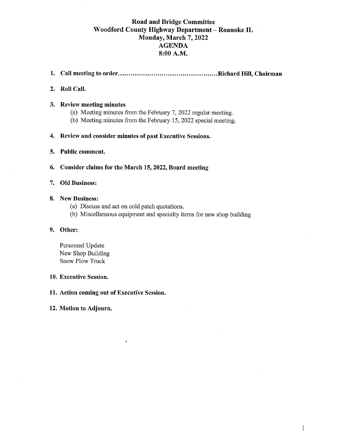#### **Road and Bridge Committee** Woodford County Highway Department - Roanoke IL Monday, March 7, 2022 **AGENDA** 8:00 A.M.

#### 

#### 2. Roll Call.

#### 3. Review meeting minutes

- (a) Meeting minutes from the February 7, 2022 regular meeting.
- (b) Meeting minutes from the February 15, 2022 special meeting.

#### 4. Review and consider minutes of past Executive Sessions.

5. Public comment.

6. Consider claims for the March 15, 2022, Board meeting

#### 7. Old Business:

#### 8. New Business:

- (a) Discuss and act on cold patch quotations.
- (b) Miscellaneous equipment and specialty items for new shop building

#### 9. Other:

Personnel Update New Shop Building **Snow Plow Truck** 

#### 10. Executive Session.

11. Action coming out of Executive Session.

 $\lambda$ 

#### 12. Motion to Adjourn.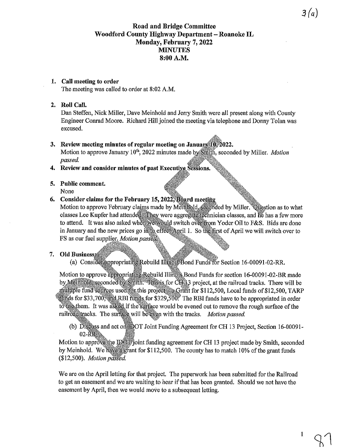#### **Road and Bridge Committee** Woodford County Highway Department - Roanoke IL Monday, February 7, 2022 **MINUTES** 8:00 A.M.

#### 1. Call meeting to order

The meeting was called to order at 8:02 A.M.

#### 2. Roll Call.

Dan Steffen, Nick Miller, Dave Meinhold and Jerry Smith were all present along with County Engineer Conrad Moore. Richard Hill joined the meeting via telephone and Donny Tolan was excused.

#### 3. Review meeting minutes of regular meeting on January 10, 2022.

Motion to approve January 10<sup>th</sup>, 2022 minutes made by Smith, seconded by Miller. *Motion* passed.

4. Review and consider minutes of past Executive Sessions.

# 5. Public comment.

None

#### 6. Consider claims for the February 15, 2022, Board meeting

Motion to approve February claims made by Memmold, seconded by Miller. Question as to what classes Lee Kupfer had attended They were aggregate technician classes, and he has a few more to attend. It was also asked when we would switch overfrom Yoder Oil to F&S. Bids are done in January and the new prices go into effect April 1. So the first of April we will switch over to FS as our fuel supplier. Motion passed,

#### 7. Old Business:

(a) Consider appropriating Rebuild Illinois Bond Funds for Section 16-00091-02-RR.

Motion to approve appropriating Rebuild Illingia. Bond Funds for section 16-00091-02-BR made by Meinhold seconded by Smith. This is for CH 13 project, at the railroad tracks. There will be multiple fund sources used for this project a Grant for \$112,500, Local funds of \$12,500, TARP funds for \$33,700, and RBI funds for \$329,500. The RBI funds have to be appropriated in order to use them. It was asked if the surface would be evened out to remove the rough surface of the railroaditracks. The surface will be even with the tracks. Motion passed.

(b) Disguss and act on DOT Joint Funding Agreement for CH 13 Project, Section 16-00091-02-RR<sup>3</sup>

Motion to approve the IDOF joint funding agreement for CH 13 project made by Smith, seconded by Meinhold. We have a grant for \$112,500. The county has to match 10% of the grant funds (\$12,500). Motion passed.

We are on the April letting for that project. The paperwork has been submitted for the Railroad to get an easement and we are waiting to hear if that has been granted. Should we not have the easement by April, then we would move to a subsequent letting.

 $3(a)$ 

 $\mathbf{1}$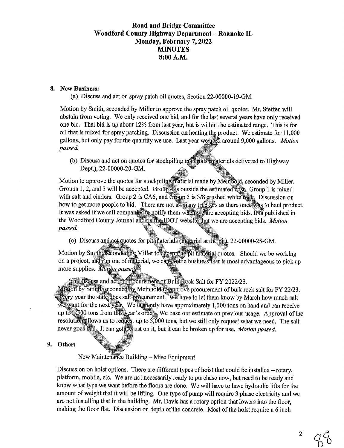#### **Road and Bridge Committee** Woodford County Highway Department - Roanoke IL Monday, February 7, 2022 **MINUTES** 8:00 A.M.

#### 8. New Business:

(a) Discuss and act on spray patch oil quotes, Section 22-00000-19-GM.

Motion by Smith, seconded by Miller to approve the spray patch oil quotes. Mr. Steffen will abstain from voting. We only received one bid, and for the last several years have only received one bid. That bid is up about 12% from last year, but is within the estimated range. This is for oil that is mixed for spray patching. Discussion on heating the product. We estimate for 11,000 gallons, but only pay for the quantity we use. Last year wearsed around 9,000 gallons. Motion passed.

(b) Discuss and act on quotes for stockpiling materials (materials delivered to Highway Dept.), 22-00000-20-GM.

Motion to approve the quotes for stockpiling material made by Memhold, seconded by Miller. Groups 1, 2, and 3 will be accepted. Group 4 is outside the estimated cost. Group 1 is mixed with salt and cinders. Group 2 is CA6, and Group 3 is 3/8 grushed white rock. Discussion on how to get more people to bid. There are not as many truckers as there oncessas to haul product. It was asked if we call companies to notify them when we are accepting bids. It is published in the Woodford County Journal and on the IDOT website that we are accepting bids. Motion passed.

(c) Discuss and act quotes for pit materials (material at the pit), 22-00000-25-GM.

Motion by Smith, seconded by Miller to accept the pit material quotes. Should we be working on a project, and multiply out of material, we can got the business that is most advantageous to pick up more supplies. Motion passed,

(d) Discuss and actomprocurement of Bulk Rock Salt for FY 2022/23.

Motion by Smith seconded by Meinhold to approve procurement of bulk rock salt for FY 22/23. exery year the state does salt procurement. We have to let them know by March how much salt we want for the next year. We currently have approximately 1,000 tons on hand and can receive up to \$500 tons from this year's order. We base our estimate on previous usage. Approval of the resolution allows us to requise tup to  $3000$  tons, but we still only request what we need. The salt never goes bad. It can get a gust on it, but it can be broken up for use. Motion passed.

#### 9. Other:

New Maintenance Building - Misc Equipment

Discussion on hoist options. There are different types of hoist that could be installed  $-$  rotary. platform, mobile, etc. We are not necessarily ready to purchase now, but need to be ready and know what type we want before the floors are done. We will have to have hydraulic lifts for the amount of weight that it will be lifting. One type of pump will require 3 phase electricity and we are not installing that in the building. Mr. Davis has a rotary option that lowers into the floor, making the floor flat. Discussion on depth of the concrete. Most of the hoist require a 6 inch

 $\boldsymbol{2}$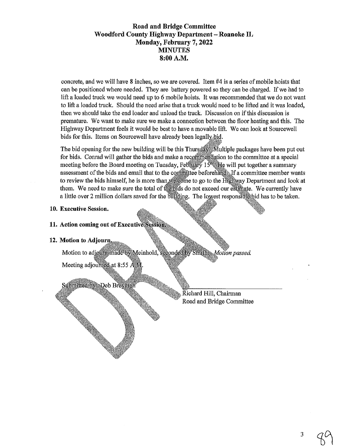#### **Road and Bridge Committee** Woodford County Highway Department - Roanoke IL Monday, February 7, 2022 **MINUTES** 8:00 A.M.

concrete, and we will have 8 inches, so we are covered. Item #4 is a series of mobile hoists that can be positioned where needed. They are battery powered so they can be charged. If we had to lift a loaded truck we would need up to 6 mobile hoists. It was recommended that we do not want to lift a loaded truck. Should the need arise that a truck would need to be lifted and it was loaded, then we should take the end loader and unload the truck. Discussion on if this discussion is premature. We want to make sure we make a connection between the floor heating and this. The Highway Department feels it would be best to have a movable lift. We can look at Sourcewell bids for this. Items on Sourcewell have already been legally bid.

The bid opening for the new building will be this Thursday Multiple packages have been put out for bids. Conrad will gather the bids and make a recommendation to the committee at a special meeting before the Board meeting on Tuesday, February 13<sup>0</sup> He will put together a summary assessment of the bids and email that to the committee beforehand. If a committee member wants to review the bids himself, he is more than we come to go to the Highway Department and look at them. We need to make sure the total of the bids do not exceed our estimate. We currently have a little over 2 million dollars saved for the building. The lowest responsible bid has to be taken.

#### 10. Executive Session.

#### 11. Action coming out of Executive Session

#### 12. Motion to Adjourn.

Motion to adjourn made by Meinhold, seconded by Smith Motion passed.

Meeting adjourned at 8:55 AM

### Submitted by Deb Breyma

Kichard Hill, Chairman Road and Bridge Committee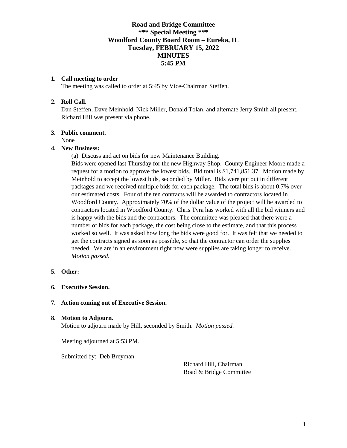#### **Road and Bridge Committee \*\*\* Special Meeting \*\*\* Woodford County Board Room – Eureka, IL Tuesday, FEBRUARY 15, 2022 MINUTES 5:45 PM**

#### **1. Call meeting to order**

The meeting was called to order at 5:45 by Vice-Chairman Steffen.

#### **2. Roll Call.**

Dan Steffen, Dave Meinhold, Nick Miller, Donald Tolan, and alternate Jerry Smith all present. Richard Hill was present via phone.

#### **3. Public comment.**

None

#### **4. New Business:**

(a) Discuss and act on bids for new Maintenance Building.

Bids were opened last Thursday for the new Highway Shop. County Engineer Moore made a request for a motion to approve the lowest bids. Bid total is \$1,741,851.37. Motion made by Meinhold to accept the lowest bids, seconded by Miller. Bids were put out in different packages and we received multiple bids for each package. The total bids is about 0.7% over our estimated costs. Four of the ten contracts will be awarded to contractors located in Woodford County. Approximately 70% of the dollar value of the project will be awarded to contractors located in Woodford County. Chris Tyra has worked with all the bid winners and is happy with the bids and the contractors. The committee was pleased that there were a number of bids for each package, the cost being close to the estimate, and that this process worked so well. It was asked how long the bids were good for. It was felt that we needed to get the contracts signed as soon as possible, so that the contractor can order the supplies needed. We are in an environment right now were supplies are taking longer to receive. *Motion passed.* 

#### **5. Other:**

#### **6. Executive Session.**

#### **7. Action coming out of Executive Session.**

#### **8. Motion to Adjourn.**

Motion to adjourn made by Hill, seconded by Smith. *Motion passed.* 

Meeting adjourned at 5:53 PM.

Submitted by: Deb Breyman

Richard Hill, Chairman Road & Bridge Committee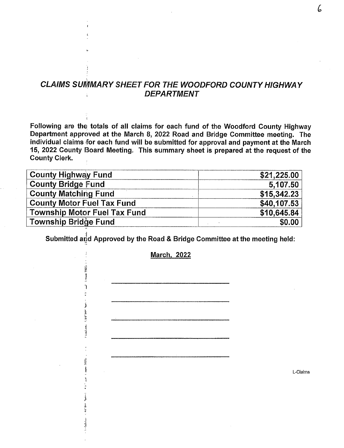# **CLAIMS SUMMARY SHEET FOR THE WOODFORD COUNTY HIGHWAY DEPARTMENT**

Following are the totals of all claims for each fund of the Woodford County Highway Department approved at the March 8, 2022 Road and Bridge Committee meeting. The individual claims for each fund will be submitted for approval and payment at the March 15, 2022 County Board Meeting. This summary sheet is prepared at the request of the **County Clerk.** 

| <b>County Highway Fund</b>          | \$21,225.00 |
|-------------------------------------|-------------|
| <b>County Bridge Fund</b>           | 5,107.50    |
| <b>County Matching Fund</b>         | \$15,342.23 |
| <b>County Motor Fuel Tax Fund</b>   | \$40,107.53 |
| <b>Township Motor Fuel Tax Fund</b> | \$10,645.84 |
| Township Bridge Fund                | \$0.00      |

Submitted and Approved by the Road & Bridge Committee at the meeting held:

**March, 2022** 

Í

L-Claims

ľ,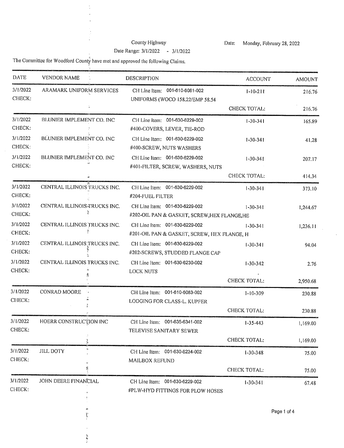#### County Highway Date Range: 3/1/2022 - 3/1/2022

Monday, February 28, 2022 Date:

÷,

The Committee for Woodford County have met and approved the following Claims.

l,

 $\frac{1}{2}$ 

 $\bar{z}$ 

| <b>DATE</b>        | <b>VENDOR NAME</b>           | <b>DESCRIPTION</b>                                                             | <b>ACCOUNT</b>      | <b>AMOUNT</b> |
|--------------------|------------------------------|--------------------------------------------------------------------------------|---------------------|---------------|
| 3/1/2022<br>CHECK: | ARAMARK UNIFORM SERVICES     | 001-610-6081-002<br>CH Line Item:<br>UNIFORMS (WOCO 158,22/EMP 58,54           | $1 - 10 - 211$      | 216,76        |
|                    |                              |                                                                                | CHECK TOTAL:        | 216.76        |
| 3/1/2022<br>CHECK: | BLUNIER IMPLEMENT CO. INC    | CH Line Item: 001-630-6229-002<br>#400-COVERS, LEVER, TIE-ROD                  | $1 - 30 - 341$      | 165.89        |
| 3/1/2022<br>CHECK: | BLUNIER IMPLEMENT CO. INC    | CH Line Item: 001-630-6229-002<br>#400-SCREW, NUTS WASHERS                     | $1 - 30 - 341$      | 41,28         |
| 3/1/2022<br>CHECK: | BLUNIER IMPLEMENT CO. INC    | CH Line Item: 001-630-6229-002<br>#401-FILTER, SCREW, WASHERS, NUTS            | $1 - 30 - 341$      | 207.17        |
|                    |                              |                                                                                | CHECK TOTAL:        | 414.34        |
| 3/1/2022<br>CHECK: | CENTRAL ILLINOIS TRUCKS INC. | CH Line Item: 001-630-6229-002<br>#204-FUEL FILTER                             | $1 - 30 - 341$      | 373.10        |
| 3/1/2022<br>CHECK: | CENTRAL ILLINOIS TRUCKS INC. | CH Line Item: 001-630-6229-002<br>#202-OIL PAN & GASKET, SCREW, HEX FLANGE, HE | $1 - 30 - 341$      | 1,244.67      |
| 3/1/2022<br>CHECK: | CENTRAL ILLINOIS TRUCKS INC. | CH Line Item: 001-630-6229-002<br>#201-OIL PAN & GASKET, SCREW, HEX FLANGE, H  | $1 - 30 - 341$      | 1,236.11      |
| 3/1/2022<br>CHECK: | CENTRAL ILLINOIS TRUCKS INC. | CH Line Item: 001-630-6229-002<br>#202-SCREWS, STUDDED FLANGE CAP              | $1 - 30 - 341$      | 94.04         |
| 3/1/2022<br>CHECK: | CENTRAL ILLINOIS TRUCKS INC. | CH Line Item: 001-630-6230-002<br>LOCK NUTS                                    | $1 - 30 - 342$      | 2.76          |
|                    |                              |                                                                                | CHECK TOTAL:        | 2,950.68      |
| 3/1/2022<br>CHECK: | CONRAD MOORE                 | CH Line Item: 001-610-6083-002<br>LODGING FOR CLASS-L, KUPFER                  | $1 - 10 - 309$      | 230.88        |
|                    |                              |                                                                                | <b>CHECK TOTAL:</b> | 230.88        |
| 3/1/2022<br>CHECK: | HOERR CONSTRUCTION INC       | CH Line Item: 001-635-6341-002<br>TELEVISE SANITARY SEWER                      | $1 - 35 - 443$      | 1,169.00      |
|                    |                              |                                                                                | CHECK TOTAL:        | 1,169.00      |
| 3/1/2022<br>CHECK: | <b>JILL DOTY</b>             | CH Line Item: 001-630-6234-002<br>MAILBOX REFUND                               | $1 - 30 - 348$      | 75.00         |
|                    | Ņ                            |                                                                                | <b>CHECK TOTAL:</b> | 75.00         |
| 3/1/2022<br>CHECK: | JOHN DEERE FINANCIAL         | CH Line Item: 001-630-6229-002<br>#PLW-HYD FITTINGS FOR PLOW HOSES             | $1 - 30 - 341$      | 67.48         |
|                    |                              |                                                                                |                     | Page 1 of 4   |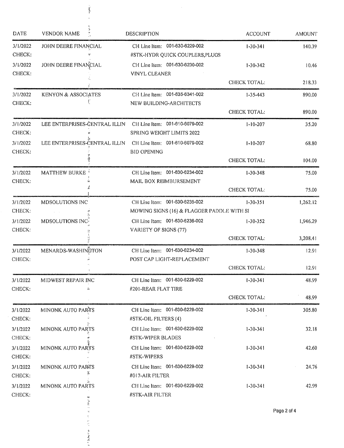| <b>DATE</b>        | <b>VENDOR NAME</b>             | <b>DESCRIPTION</b>                                                           | <b>ACCOUNT</b>      | <b>AMOUNT</b> |
|--------------------|--------------------------------|------------------------------------------------------------------------------|---------------------|---------------|
| 3/1/2022<br>CHECK: | JOHN DEERE FINANCIAL           | 001-630-6229-002<br>CH Line Item:<br>#STK-HYDR QUICK COUPLERS, PLUGS         | $1 - 30 - 341$      | 140,39        |
| 3/1/2022<br>CHECK: | JOHN DEERE FINANCIAL           | CH Line Item: 001-630-6230-002<br>VINYL CLEANER                              | $1 - 30 - 342$      | 10.46         |
|                    |                                |                                                                              | CHECK TOTAL:        | 218.33        |
| 3/1/2022<br>CHECK: | KENYON & ASSOCIATES            | CH Line Item: 001-635-6341-002<br>NEW BUILDING-ARCHITECTS                    | $1 - 35 - 443$      | 890.00        |
|                    |                                |                                                                              | CHECK TOTAL:        | 890.00        |
| 3/1/2022<br>CHECK: | LEE ENTERPRISES-CENTRAL ILLIN  | CH Line Item: 001-610-6079-002<br>SPRING WEIGHT LIMITS 2022                  | $1 - 10 - 207$      | 35,20         |
| 3/1/2022<br>CHECK: | LEE ENTERPRISES-CENTRAL ILLIN  | CH Line Item: 001-610-6079-002<br><b>BID OPENING</b>                         | $1 - 10 - 207$      | 68.80         |
|                    |                                |                                                                              | CHECK TOTAL:        | 104.00        |
| 3/1/2022<br>CHECK: | <b>MATTHEW BURKE</b>           | CH Line Item: 001-630-6234-002<br>MAIL BOX REIMBURSEMENT                     | $1 - 30 - 348$      | 75.00         |
|                    |                                |                                                                              | <b>CHECK TOTAL:</b> | 75.00         |
| 3/1/2022<br>CHECK: | MDSOLUTIONS INC                | CH Line Item: 001-630-6235-002<br>MOWING SIGNS (16) & FLAGGER PADDLE WITH SI | $1 - 30 - 351$      | 1,262.12      |
| 3/1/2022<br>CHECK: | MDSOLUTIONS INC                | CH Line Item: 001-630-6236-002<br>VARIETY OF SIGNS (77)                      | $1 - 30 - 352$      | 1,946.29      |
|                    |                                |                                                                              | CHECK TOTAL:        | 3,208.41      |
| 3/1/2022<br>CHECK: | MENARDS-WASHINGTON             | CH Line Item: 001-630-6234-002<br>POST CAP LIGHT-REPLACEMENT                 | $1 - 30 - 348$      | 12.91         |
|                    |                                |                                                                              | CHECK TOTAL:        | 12.91         |
| 3/1/2022<br>CHECK: | MIDWEST REPAIR INC<br>à.       | CH Line Item: 001-630-6229-002<br>#201-REAR FLAT TIRE                        | $1 - 30 - 341$      | 48.99         |
|                    |                                |                                                                              | CHECK TOTAL:        | 48.99         |
| 3/1/2022<br>CHECK: | MINONK AUTO PARTS              | CH Line Item: 001-630-6229-002<br>#STK-OIL FILTERS (4)                       | $1 - 30 - 341$      | 305.80        |
| 3/1/2022<br>CHECK: | MINONK AUTO PARTS              | CH Line Item: 001-630-6229-002<br>#STK-WIPER BLADES                          | $1 - 30 - 341$      | 32.18         |
| 3/1/2022<br>CHECK: | MINONK AUTO PARTS              | CH Line Item: 001-630-6229-002<br>#STK-WIPERS                                | $1 - 30 - 341$      | 42.60         |
| 3/1/2022<br>CHECK: | <b>MINONK AUTO PARTS</b><br>N, | CH Line Item: 001-630-6229-002<br>#017-AIR FILTER                            | $1 - 30 - 341$      | 24.76         |
| 3/1/2022<br>CHECK: | MINONK AUTO PARTS              | CH Line Item: 001-630-6229-002<br>#STK-AIR FILTER                            | $1 - 30 - 341$      | 42.99         |
|                    |                                |                                                                              |                     | Page 2 of 4   |
|                    |                                |                                                                              |                     |               |

 $\ddot{\phantom{0}}$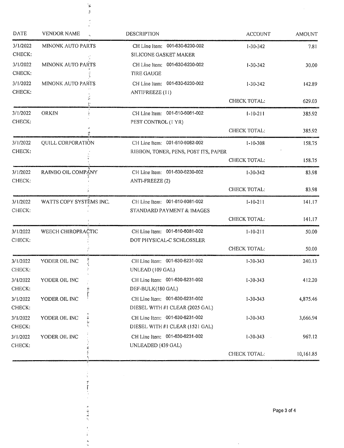| <b>AMOUNT</b> | <b>ACCOUNT</b>      | DESCRIPTION                                                            | <b>VENDOR NAME</b>            | <b>DATE</b>        |
|---------------|---------------------|------------------------------------------------------------------------|-------------------------------|--------------------|
| 7.81          | $1 - 30 - 342$      | CH Line Item: 001-630-6230-002<br>SILICONE GASKET MAKER                | <b>MINONK AUTO PARTS</b>      | 3/1/2022<br>CHECK: |
| 30,00         | $1 - 30 - 342$      | CH Line Item: 001-630-6230-002<br>TIRE GAUGE                           | MINONK AUTO PARTS             | 3/1/2022<br>CHECK: |
| 142.89        | $1 - 30 - 342$      | CH Line Item: 001-630-6230-002<br>ANTIFREEZE (11)                      | <b>MINONK AUTO PARTS</b>      | 3/1/2022<br>CHECK: |
| 629.03        | CHECK TOTAL:        |                                                                        |                               |                    |
| 385.92        | $1 - 10 - 211$      | CH Line Item: 001-610-6081-002<br>PEST CONTROL (1 YR)                  | ORKIN                         | 3/1/2022<br>CHECK: |
| 385.92        | CHECK TOTAL:        |                                                                        |                               |                    |
| 158.75        | $1 - 10 - 308$      | CH Line Item: 001-610-6082-002<br>RIBBON, TONER, PENS, POST ITS, PAPER | QUILL CORPORATION             | 3/1/2022<br>CHECK: |
| 158.75        | CHECK TOTAL:        |                                                                        |                               |                    |
| 83.98         | $1 - 30 - 342$      | CH Line Item: 001-630-6230-002<br>ANTI-FREEZE (2)                      | RAINBO OIL COMPANY            | 3/1/2022<br>CHECK: |
| 83.98         | <b>CHECK TOTAL:</b> |                                                                        |                               |                    |
| 141.17        | $1 - 10 - 211$      | CH Line Item: 001-610-6081-002<br>STANDARD PAYMENT & IMAGES            | WATTS COPY SYSTEMS INC.       | 3/1/2022<br>CHECK: |
| 141.17        | CHECK TOTAL:        |                                                                        |                               |                    |
| 50.00         | $1 - 10 - 211$      | CH Line Item: 001-610-6081-002<br>DOT PHYSICAL-C SCHLOSSLER            | WEECH CHIROPRACTIC            | 3/1/2022<br>CHECK: |
| 50.00         | CHECK TOTAL:        |                                                                        |                               |                    |
| 240.13        | $1 - 30 - 343$      | CH Line Item: 001-630-6231-002<br>UNLEAD (109 GAL)                     | YODER OIL INC                 | 3/1/2022<br>CHECK: |
| 412.20        | $1 - 30 - 343$      | CH Line Item: 001-630-6231-002<br>DEF-BULK(180 GAL)                    | YODER OIL INC                 | 3/1/2022<br>CHECK: |
| 4,875.46      | $1 - 30 - 343$      | CH Line Item: 001-630-6231-002<br>DIESEL WITH #1 CLEAR (2025 GAL)      | YODER OIL INC                 | 3/1/2022<br>CHECK: |
| 3,666.94      | $1 - 30 - 343$      | CH Line Item: 001-630-6231-002<br>DIESEL WITH #1 CLEAR (1521 GAL)      | $-5 - 5 - 1$<br>YODER OIL INC | 3/1/2022<br>CHECK: |
| 967.12        | $1 - 30 - 343$      | CH Line Item: 001-630-6231-002<br>UNLEADED (439 GAL)                   | YODER OIL INC                 | 3/1/2022<br>CHECK: |
| 10,161.85     | <b>CHECK TOTAL:</b> |                                                                        |                               |                    |

 $\frac{1}{\beta}$ 

计算项目

 $\begin{array}{c} 1 \\ 1 \\ 1 \end{array}$  $\frac{d\mathbf{y}}{d\mathbf{x}}$   $\mathcal{A}^{\mathcal{A}}$ 

 $\bar{\beta}$ 

 $\mathcal{L}$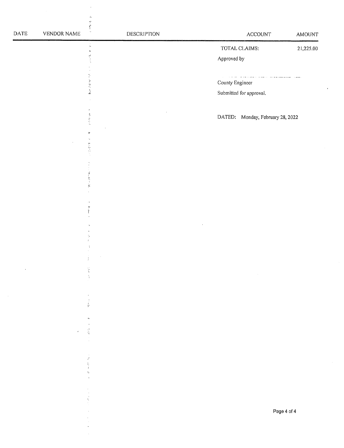| $\mathsf{DATE}$ | VENDOR NAME | $\frac{1}{2}$<br><b>DESCRIPTION</b> | ACCOUNT                                                         | <b>AMOUNT</b>          |
|-----------------|-------------|-------------------------------------|-----------------------------------------------------------------|------------------------|
|                 |             | $\frac{1}{24}$<br>$\pmb{u}$         | TOTAL CLAIMS:                                                   | 21,225.00              |
|                 |             | 经济工                                 | Approved by                                                     |                        |
|                 |             |                                     | $\tau$ , and a set of the contract and a set of the contraction | $\sim 100$ m s $^{-1}$ |
|                 |             | 医血管内障                               | County Engineer                                                 |                        |
|                 |             |                                     | Submitted for approval.                                         |                        |
|                 |             |                                     |                                                                 |                        |
|                 |             | 医阿尔伯氏                               | DATED: Monday, February 28, 2022                                |                        |
|                 |             | è                                   |                                                                 |                        |
|                 |             | 医后叶                                 |                                                                 |                        |
|                 |             |                                     |                                                                 |                        |
|                 |             | $\omega$ , and that                 |                                                                 |                        |
|                 |             | $\mathbf{g}$                        |                                                                 |                        |
|                 |             | $\mathbb{P}^1$                      |                                                                 |                        |
|                 |             |                                     |                                                                 |                        |
|                 |             |                                     |                                                                 |                        |
|                 |             | ŷ.                                  |                                                                 |                        |
|                 |             |                                     |                                                                 |                        |
|                 |             |                                     |                                                                 |                        |
|                 |             | $\zeta$                             |                                                                 |                        |
|                 |             |                                     |                                                                 |                        |
|                 |             |                                     |                                                                 |                        |
|                 |             |                                     |                                                                 |                        |
|                 |             | ø,                                  |                                                                 |                        |
|                 | $\epsilon$  | $\frac{1}{\sqrt{6}}$                |                                                                 |                        |
|                 |             |                                     |                                                                 |                        |
|                 |             | $\mathcal{P}$<br>ţ.                 |                                                                 |                        |
|                 |             | $\lambda$<br>ţ,                     |                                                                 |                        |
|                 |             |                                     |                                                                 |                        |
|                 |             |                                     |                                                                 |                        |
|                 |             |                                     | Page 4 of 4                                                     |                        |
|                 |             |                                     |                                                                 |                        |
|                 |             |                                     |                                                                 |                        |

 $\mathcal{F}(\mathcal{F})$ 

 $\bar{\beta}$  $\hat{\mathbf{A}}$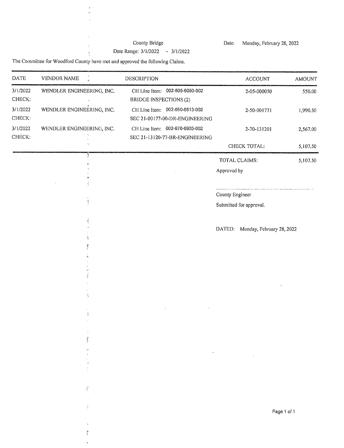# County Bridge

Monday, February 28, 2022 Date:

Date Range: 3/1/2022 - 3/1/2022

The Committee for Woodford County have met and approved the following Claims.

 $\bar{\omega}$  $\omega$  $\ddot{\phantom{a}}$ 

 $\hat{\mathcal{Z}}_t$ 

 $\vec{r}$ 

 $\frac{3}{3}$ 

 $\hat{\mathcal{A}}$  $\frac{\hbar}{2}$  $\ddot{\phantom{a}}$ 

| <b>DATE</b>        | <b>VENDOR NAME</b><br>$\ddot{\phantom{a}}$ | DESCRIPTION                                                      | <b>ACCOUNT</b>                             | <b>AMOUNT</b> |
|--------------------|--------------------------------------------|------------------------------------------------------------------|--------------------------------------------|---------------|
| 3/1/2022<br>CHECK: | WENDLER ENGINEERING, INC.                  | CH Line Item: 002-605-6050-002<br><b>BRIDGE INSPECTIONS (2)</b>  | 2-05-000050                                | 550.00        |
| 3/1/2022<br>CHECK: | WENDLER ENGINEERING, INC.                  | CH Line Item: 002-650-6513-002<br>SEC 21-00177-00-DR-ENGINEERING | 2-50-001771                                | 1,990.50      |
| 3/1/2022<br>CHECK: | WENDLER ENGINEERING, INC.                  | CH Line Item: 002-670-6903-002<br>SEC 21-13120-77-BR-ENGINEERING | 2-70-131201                                | 2,567.00      |
|                    |                                            |                                                                  | CHECK TOTAL:                               | 5,107.50      |
|                    |                                            |                                                                  | TOTAL CLAIMS:<br>Approved by               | 5,107.50      |
|                    | $\frac{1}{2}$                              |                                                                  | County Engineer<br>Submitted for approval. |               |
|                    |                                            |                                                                  | DATED:<br>Monday, February 28, 2022        |               |
|                    |                                            |                                                                  |                                            |               |
|                    |                                            |                                                                  |                                            |               |
|                    |                                            |                                                                  |                                            |               |
|                    | į                                          |                                                                  |                                            |               |
|                    |                                            | $\pmb{\cdot}$                                                    | $\bar{z}$                                  |               |
|                    | ć                                          |                                                                  |                                            |               |
|                    | $\frac{1}{\sqrt{2}}$                       |                                                                  | Page 1 of 1                                |               |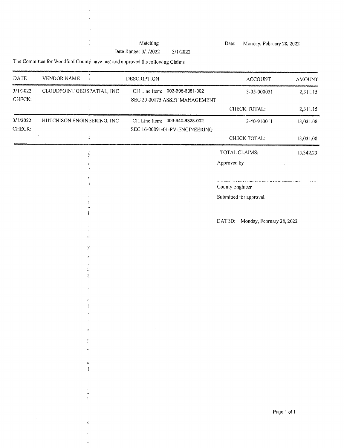# Matching

 $\sim$ 

Date Range:  $3/1/2022 - 3/1/2022$ 

Date: Monday, February 28, 2022

The Committee for Woodford County have met and approved the following Claims.

 $\begin{array}{c} 0 \\ 0 \\ 1 \end{array}$ 

 $\bar{\nu}$  $\bar{z}$ 

 $\hat{\mathcal{L}}$ 

 $\ddot{\phantom{1}}$ à.

| DATE               | <b>VENDOR NAME</b>         | DESCRIPTION                                                      | ACCOUNT                                                                                                                                                                                                                                          | AMOUNT    |
|--------------------|----------------------------|------------------------------------------------------------------|--------------------------------------------------------------------------------------------------------------------------------------------------------------------------------------------------------------------------------------------------|-----------|
| 3/1/2022<br>CHECK: | CLOUDPOINT GEOSPATIAL, INC | CH Line Item: 003-605-6051-002<br>SEC 20-00175 ASSET MANAGEMENT  | 3-05-000051                                                                                                                                                                                                                                      | 2,311.15  |
|                    |                            |                                                                  | CHECK TOTAL:                                                                                                                                                                                                                                     | 2,311.15  |
| 3/1/2022<br>CHECK: | HUTCHISON ENGINEERING, INC | CH Line Item: 003-640-6328-002<br>SEC 16-00091-01-PV-ENGINEERING | 3-40-910011                                                                                                                                                                                                                                      | 13,031.08 |
|                    | Ć,                         |                                                                  | CHECK TOTAL:                                                                                                                                                                                                                                     | 13,031.08 |
|                    | y                          |                                                                  | TOTAL CLAIMS:                                                                                                                                                                                                                                    | 15,342.23 |
|                    |                            |                                                                  | Approved by                                                                                                                                                                                                                                      |           |
|                    | $\mathcal{A}$              |                                                                  | the company of the company of the company of the company of the company of the company of the company of the company of the company of the company of the company of the company of the company of the company of the company<br>County Engineer |           |
|                    |                            |                                                                  | Submitted for approval.                                                                                                                                                                                                                          |           |
|                    | ŵ                          |                                                                  |                                                                                                                                                                                                                                                  |           |
|                    | ŵ.                         |                                                                  | DATED:<br>Monday, February 28, 2022                                                                                                                                                                                                              |           |
|                    | У                          |                                                                  |                                                                                                                                                                                                                                                  |           |
|                    |                            |                                                                  |                                                                                                                                                                                                                                                  |           |
|                    | æ.<br>Й                    |                                                                  |                                                                                                                                                                                                                                                  |           |
|                    | $\Lambda^+$                |                                                                  |                                                                                                                                                                                                                                                  |           |
|                    |                            |                                                                  |                                                                                                                                                                                                                                                  |           |
|                    | v                          |                                                                  |                                                                                                                                                                                                                                                  |           |
|                    | þ.                         |                                                                  |                                                                                                                                                                                                                                                  |           |
|                    | á e                        |                                                                  |                                                                                                                                                                                                                                                  |           |
|                    | A,                         |                                                                  |                                                                                                                                                                                                                                                  |           |
|                    |                            |                                                                  |                                                                                                                                                                                                                                                  |           |
|                    | I                          |                                                                  |                                                                                                                                                                                                                                                  |           |
|                    |                            |                                                                  | Page 1 of 1                                                                                                                                                                                                                                      |           |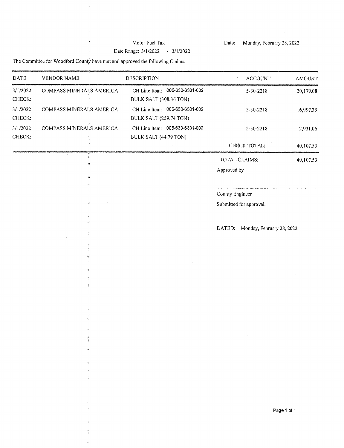#### Motor Fuel Tax Date Range: 3/1/2022 - 3/1/2022

Date: Monday, February 28, 2022

 $\mathbf{u}^{\dagger}$ 

The Committee for Woodford County have met and approved the following Claims.

 $\hat{t}$ 

 $\hat{\boldsymbol{\beta}}$  $\frac{1}{2}$ 

 $\frac{1}{2}$ 

 $\overset{\circ}{\chi}$  $\bar{\mathbf{q}}$ 

| <b>DATE</b>        | VENDOR NAME              | <b>DESCRIPTION</b>                                       | <b>ACCOUNT</b>                                                            | AMOUNT      |
|--------------------|--------------------------|----------------------------------------------------------|---------------------------------------------------------------------------|-------------|
| 3/1/2022<br>CHECK: | COMPASS MINERALS AMERICA | CH Line Item: 005-630-6301-002<br>BULK SALT (308.36 TON) | $5 - 30 - 2218$                                                           | 20,179.08   |
| 3/1/2022<br>CHECK: | COMPASS MINERALS AMERICA | CH Line Item: 005-630-6301-002<br>BULK SALT (259.74 TON) | $5 - 30 - 2218$                                                           | 16,997.39   |
| 3/1/2022<br>CHECK: | COMPASS MINERALS AMERICA | CH Line Item: 005-630-6301-002<br>BULK SALT (44.79 TON)  | $5 - 30 - 2218$                                                           | 2,931.06    |
|                    |                          |                                                          | CHECK TOTAL:                                                              | 40,107.53   |
|                    | Y<br>м                   |                                                          | TOTAL CLAIMS:                                                             | 40,107.53   |
|                    | 23                       |                                                          | Approved by                                                               |             |
|                    |                          |                                                          | a concerta del comunicación de la concerta de la calif<br>County Engineer |             |
|                    |                          |                                                          | Submitted for approval.                                                   |             |
|                    | $\cdot$                  |                                                          | DATED:<br>Monday, February 28, 2022                                       |             |
|                    |                          |                                                          |                                                                           |             |
|                    | yn<br>D<br>뗖             |                                                          |                                                                           |             |
|                    |                          |                                                          |                                                                           |             |
|                    | Ą.                       |                                                          |                                                                           |             |
|                    |                          |                                                          |                                                                           |             |
|                    |                          |                                                          |                                                                           |             |
|                    |                          |                                                          |                                                                           |             |
|                    |                          |                                                          |                                                                           |             |
|                    |                          |                                                          |                                                                           |             |
|                    |                          |                                                          |                                                                           |             |
|                    |                          |                                                          |                                                                           |             |
|                    |                          |                                                          |                                                                           |             |
|                    |                          |                                                          |                                                                           |             |
|                    |                          |                                                          |                                                                           |             |
|                    |                          |                                                          |                                                                           | Page 1 of 1 |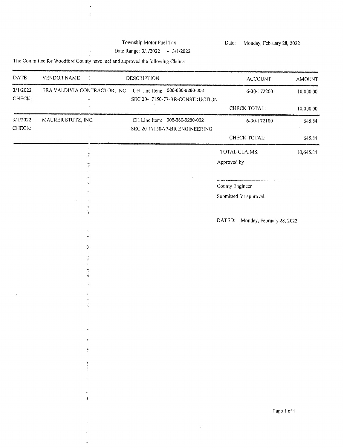# Township Motor Fuel Tax

Date: Monday, February 28, 2022

Date Range: 3/1/2022 - 3/1/2022

The Committee for Woodford County have met and approved the following Claims.

 $\theta$  $\hat{\mathcal{A}}$ 

 $\hat{\mathcal{L}}$ 

 $\frac{1}{2}$ 

÷, ò.

| DATE               | <b>VENDOR NAME</b>           | <b>DESCRIPTION</b>                                                | <b>ACCOUNT</b>                      | AMOUNT    |
|--------------------|------------------------------|-------------------------------------------------------------------|-------------------------------------|-----------|
| 3/1/2022<br>CHECK: | ERA VALDIVIA CONTRACTOR, INC | CH Line Item: 006-630-6280-002<br>SEC 20-17150-77-BR-CONSTRUCTION | 6-30-172200                         | 10,000.00 |
|                    |                              |                                                                   | CHECK TOTAL:                        | 10,000.00 |
| 3/1/2022<br>CHECK: | MAURER STUTZ, INC.           | CH Line Item: 006-630-6280-002<br>SEC 20-17150-77-BR ENGINEERING  | 6-30-172100                         | 645.84    |
|                    |                              |                                                                   | CHECK TOTAL:                        | 645.84    |
|                    | У                            |                                                                   | TOTAL CLAIMS:                       | 10,645.84 |
|                    | $\frac{1}{2}$                |                                                                   | Approved by                         |           |
|                    | P<br>Ą.                      |                                                                   |                                     |           |
|                    |                              |                                                                   | County Engineer                     |           |
|                    |                              |                                                                   | Submitted for approval.             |           |
|                    | $\phi$<br>$\langle$          |                                                                   |                                     |           |
|                    |                              |                                                                   | DATED:<br>Monday, February 28, 2022 |           |
|                    | d)                           |                                                                   |                                     |           |
|                    |                              |                                                                   |                                     |           |
|                    | У                            |                                                                   |                                     |           |
|                    |                              |                                                                   |                                     |           |
|                    | 전<br>Ń.                      |                                                                   |                                     |           |
|                    |                              |                                                                   |                                     |           |
|                    |                              |                                                                   |                                     |           |
|                    | Æ                            |                                                                   |                                     |           |
|                    |                              |                                                                   |                                     |           |
|                    |                              |                                                                   |                                     |           |
|                    |                              |                                                                   |                                     |           |
|                    | Ņ                            |                                                                   |                                     |           |
|                    | 防水                           |                                                                   |                                     |           |
|                    | Ą                            |                                                                   |                                     |           |
|                    |                              |                                                                   |                                     |           |
|                    |                              |                                                                   |                                     |           |
|                    | è,<br>í                      |                                                                   |                                     |           |
|                    |                              |                                                                   |                                     |           |
|                    |                              |                                                                   | Page 1 of 1                         |           |
|                    | $\boldsymbol{r}$             |                                                                   |                                     |           |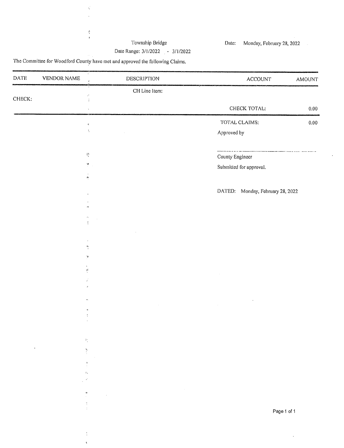# Township Bridge

Monday, February 28, 2022 Date:

 $\mathcal{L}$ 

Date Range: 3/1/2022 - 3/1/2022

The Committee for Woodford County have met and approved the following Claims.

 $\boldsymbol{\gamma}$  $\ddot{\phantom{a}}$ 

 $\dot{\theta}$  $\bar{\mathbf{r}}$ 

 $\hat{\mathbf{r}}$ 

| $\mathsf{DATE}$ | VENDOR NAME         | DESCRIPTION                          | $\operatorname{ACCOUNT}$            | AMOUNT      |
|-----------------|---------------------|--------------------------------------|-------------------------------------|-------------|
|                 |                     | CH Line Item;<br>$\mathcal{C}$       |                                     |             |
| CHECK.          |                     | ğ.                                   | CHECK TOTAL:                        | $0.00\,$    |
|                 |                     | ŧ                                    |                                     |             |
|                 |                     | $\gamma$                             | TOTAL CLAIMS:                       | $0.00\,$    |
|                 |                     | $\mathbf{t}_i$                       | Approved by                         |             |
|                 |                     |                                      |                                     |             |
|                 |                     | $\mathfrak{t}^{\chi}_{\mathfrak{s}}$ | County Engineer                     |             |
|                 |                     | $\frac{3\pi}{2}$                     | Submitted for approval.             |             |
|                 |                     | $\pmb{h}$                            |                                     |             |
|                 |                     |                                      | DATED:<br>Monday, February 28, 2022 |             |
|                 |                     |                                      |                                     |             |
|                 |                     | $\mathcal{A}$                        |                                     |             |
|                 |                     | $\mathcal{O}_{\mathcal{K}_0}$<br>÷   |                                     |             |
|                 |                     |                                      |                                     |             |
|                 |                     |                                      |                                     |             |
|                 |                     | Ą                                    |                                     |             |
|                 |                     | P                                    |                                     |             |
|                 |                     | $\sum_{i=1}^n$                       |                                     |             |
|                 |                     |                                      |                                     |             |
|                 |                     |                                      |                                     |             |
|                 |                     |                                      |                                     |             |
|                 |                     |                                      |                                     |             |
|                 |                     |                                      |                                     |             |
|                 |                     |                                      |                                     |             |
|                 |                     | łŗ.                                  |                                     |             |
|                 | $\mathcal{A}^{\pm}$ | ł                                    |                                     |             |
|                 |                     |                                      |                                     |             |
|                 |                     | $\frac{9}{\epsilon}$                 |                                     |             |
|                 |                     | $\mathbf{r}_\mathrm{A}$              |                                     |             |
|                 |                     | $\sim 100$                           |                                     |             |
|                 |                     | n,<br>$\epsilon$                     |                                     |             |
|                 |                     |                                      |                                     |             |
|                 |                     |                                      |                                     | Page 1 of 1 |
|                 |                     |                                      |                                     |             |
|                 |                     | ŧ                                    |                                     |             |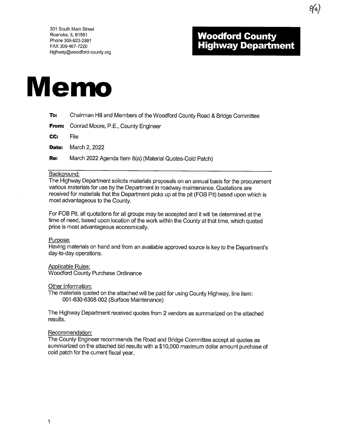# **Woodford County<br>Highway Department**

Øα,



- Chairman Hill and Members of the Woodford County Road & Bridge Committee To:
- Conrad Moore, P.E., County Engineer From:

CC: File

Date: March 2, 2022

Re: March 2022 Agenda Item 8(a) (Material Quotes-Cold Patch)

#### Background:

The Highway Department solicits materials proposals on an annual basis for the procurement various materials for use by the Department in roadway maintenance. Quotations are received for materials that the Department picks up at the pit (FOB Pit) based upon which is most advantageous to the County.

For FOB Pit, all quotations for all groups may be accepted and it will be determined at the time of need, based upon location of the work within the County at that time, which quoted price is most advantageous economically.

#### Purpose:

Having materials on hand and from an available approved source is key to the Department's day-to-day operations.

#### Applicable Rules:

**Woodford County Purchase Ordinance** 

#### Other Information:

The materials quoted on the attached will be paid for using County Highway, line item: 001-630-6308-002 (Surface Maintenance)

The Highway Department received quotes from 2 vendors as summarized on the attached results.

#### Recommendation:

The County Engineer recommends the Road and Bridge Committee accept all quotes as summarized on the attached bid results with a \$10,000 maximum dollar amount purchase of cold patch for the current fiscal year.